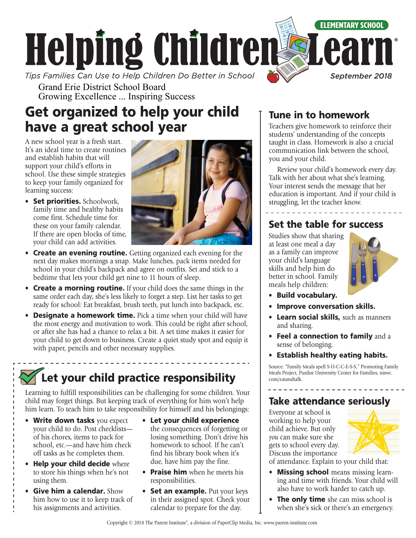

Grand Erie District School Board Growing Excellence ... Inspiring Success

# Get organized to help your child have a great school year

A new school year is a fresh start. It's an ideal time to create routines and establish habits that will support your child's efforts in school. Use these simple strategies to keep your family organized for learning success:

• Set priorities. Schoolwork, family time and healthy habits come first. Schedule time for these on your family calendar. If there are open blocks of time, your child can add activities.



- Create an evening routine. Getting organized each evening for the next day makes mornings a snap. Make lunches, pack items needed for school in your child's backpack and agree on outfits. Set and stick to a bedtime that lets your child get nine to 11 hours of sleep.
- Create a morning routine. If your child does the same things in the same order each day, she's less likely to forget a step. List her tasks to get ready for school: Eat breakfast, brush teeth, put lunch into backpack, etc.
- Designate a homework time. Pick a time when your child will have the most energy and motivation to work. This could be right after school, or after she has had a chance to relax a bit. A set time makes it easier for your child to get down to business. Create a quiet study spot and equip it with paper, pencils and other necessary supplies.

# $\sqrt{\ }$  Let your child practice responsibility

Learning to fulfill responsibilities can be challenging for some children. Your child may forget things. But keeping track of everything for him won't help him learn. To teach him to take responsibility for himself and his belongings:

- Write down tasks you expect your child to do. Post checklists of his chores, items to pack for school, etc.—and have him check off tasks as he completes them.
- Help your child decide where to store his things when he's not using them.
- Give him a calendar. Show him how to use it to keep track of his assignments and activities.
- Let your child experience the consequences of forgetting or losing something. Don't drive his homework to school. If he can't find his library book when it's due, have him pay the fine.
- **Praise him** when he meets his responsibilities.
- Set an example. Put your keys in their assigned spot. Check your calendar to prepare for the day.

### Tune in to homework

Teachers give homework to reinforce their students' understanding of the concepts taught in class. Homework is also a crucial communication link between the school, you and your child.

Review your child's homework every day. Talk with her about what she's learning. Your interest sends the message that her education is important. And if your child is struggling, let the teacher know.

### Set the table for success

Studies show that sharing at least one meal a day as a family can improve your child's language skills and help him do better in school. Family meals help children:



- Build vocabulary.
- Improve conversation skills.
- Learn social skills, such as manners and sharing.
- **Feel a connection to family** and a sense of belonging.
- Establish healthy eating habits.

Source: "Family Meals spell S-U-C-C-E-S-S," Promoting Family Meals Project, Purdue University Center for Families, [niswc.](http://niswc.com/eatandtalk) [com/eatandtalk](http://niswc.com/eatandtalk).

### Take attendance seriously

Everyone at school is working to help your child achieve. But only *you* can make sure she gets to school every day. Discuss the importance



of attendance. Explain to your child that:

- Missing school means missing learning and time with friends. Your child will also have to work harder to catch up.
- The only time she can miss school is when she's sick or there's an emergency.